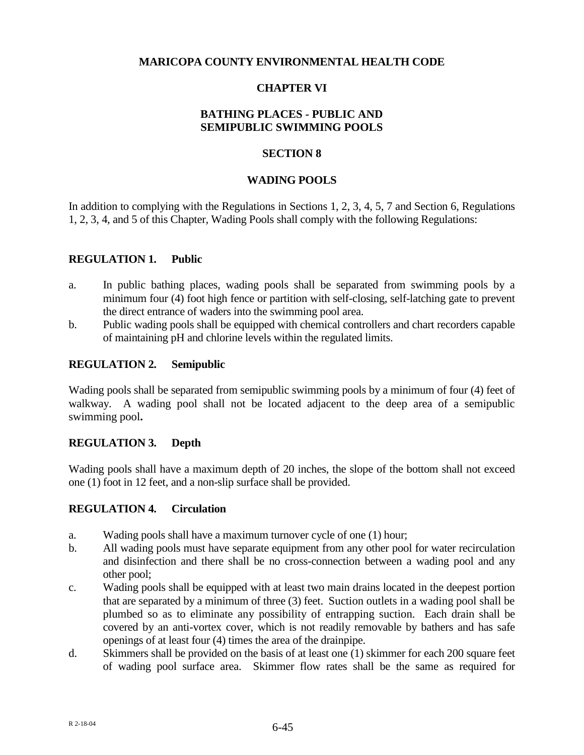### **MARICOPA COUNTY ENVIRONMENTAL HEALTH CODE**

# **CHAPTER VI**

# **BATHING PLACES - PUBLIC AND SEMIPUBLIC SWIMMING POOLS**

#### **SECTION 8**

#### **WADING POOLS**

In addition to complying with the Regulations in Sections 1, 2, 3, 4, 5, 7 and Section 6, Regulations 1, 2, 3, 4, and 5 of this Chapter*,* Wading Pools shall comply with the following Regulations:

#### **REGULATION 1. Public**

- a. In public bathing places, wading pools shall be separated from swimming pools by a minimum four (4) foot high fence or partition with self-closing, self-latching gate to prevent the direct entrance of waders into the swimming pool area.
- b. Public wading pools shall be equipped with chemical controllers and chart recorders capable of maintaining pH and chlorine levels within the regulated limits.

### **REGULATION 2. Semipublic**

Wading pools shall be separated from semipublic swimming pools by a minimum of four (4) feet of walkway. A wading pool shall not be located adjacent to the deep area of a semipublic swimming pool**.**

### **REGULATION 3. Depth**

Wading pools shall have a maximum depth of 20 inches, the slope of the bottom shall not exceed one (1) foot in 12 feet, and a non-slip surface shall be provided.

### **REGULATION 4. Circulation**

- a. Wading pools shall have a maximum turnover cycle of one (1) hour;
- b. All wading pools must have separate equipment from any other pool for water recirculation and disinfection and there shall be no cross-connection between a wading pool and any other pool;
- c. Wading pools shall be equipped with at least two main drains located in the deepest portion that are separated by a minimum of three (3) feet. Suction outlets in a wading pool shall be plumbed so as to eliminate any possibility of entrapping suction. Each drain shall be covered by an anti-vortex cover, which is not readily removable by bathers and has safe openings of at least four (4) times the area of the drainpipe.
- d. Skimmers shall be provided on the basis of at least one (1) skimmer for each 200 square feet of wading pool surface area. Skimmer flow rates shall be the same as required for